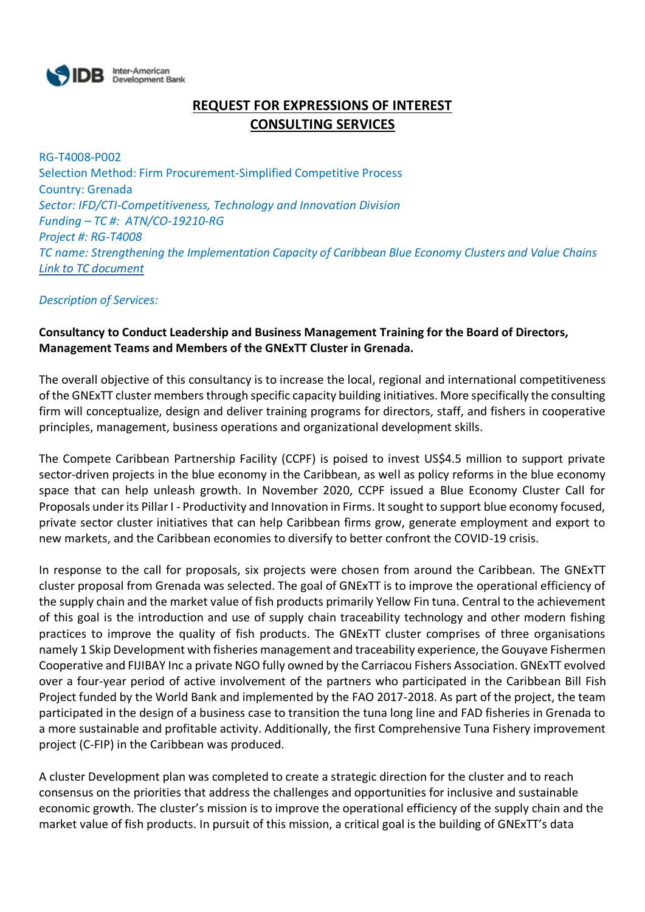

## **REQUEST FOR EXPRESSIONS OF INTEREST CONSULTING SERVICES**

RG-T4008-P002 Selection Method: Firm Procurement-Simplified Competitive Process Country: Grenada *Sector: IFD/CTI-Competitiveness, Technology and Innovation Division Funding – TC #: ATN/CO-19210-RG Project #: RG-T4008 TC name: Strengthening the Implementation Capacity of Caribbean Blue Economy Clusters and Value Chains [Link to TC document](https://www.iadb.org/en/project/RG-T4008)*

*Description of Services:*

## **Consultancy to Conduct Leadership and Business Management Training for the Board of Directors, Management Teams and Members of the GNExTT Cluster in Grenada.**

The overall objective of this consultancy is to increase the local, regional and international competitiveness of the GNExTT cluster members through specific capacity building initiatives. More specifically the consulting firm will conceptualize, design and deliver training programs for directors, staff, and fishers in cooperative principles, management, business operations and organizational development skills.

The Compete Caribbean Partnership Facility (CCPF) is poised to invest US\$4.5 million to support private sector-driven projects in the blue economy in the Caribbean, as well as policy reforms in the blue economy space that can help unleash growth. In November 2020, CCPF issued a Blue Economy Cluster Call for Proposals under its Pillar I - Productivity and Innovation in Firms. It sought to support blue economy focused, private sector cluster initiatives that can help Caribbean firms grow, generate employment and export to new markets, and the Caribbean economies to diversify to better confront the COVID-19 crisis.

In response to the call for proposals, six projects were chosen from around the Caribbean. The GNExTT cluster proposal from Grenada was selected. The goal of GNExTT is to improve the operational efficiency of the supply chain and the market value of fish products primarily Yellow Fin tuna. Central to the achievement of this goal is the introduction and use of supply chain traceability technology and other modern fishing practices to improve the quality of fish products. The GNExTT cluster comprises of three organisations namely 1 Skip Development with fisheries management and traceability experience, the Gouyave Fishermen Cooperative and FIJIBAY Inc a private NGO fully owned by the Carriacou Fishers Association. GNExTT evolved over a four-year period of active involvement of the partners who participated in the Caribbean Bill Fish Project funded by the World Bank and implemented by the FAO 2017-2018. As part of the project, the team participated in the design of a business case to transition the tuna long line and FAD fisheries in Grenada to a more sustainable and profitable activity. Additionally, the first Comprehensive Tuna Fishery improvement project (C-FIP) in the Caribbean was produced.

A cluster Development plan was completed to create a strategic direction for the cluster and to reach consensus on the priorities that address the challenges and opportunities for inclusive and sustainable economic growth. The cluster's mission is to improve the operational efficiency of the supply chain and the market value of fish products. In pursuit of this mission, a critical goal is the building of GNExTT's data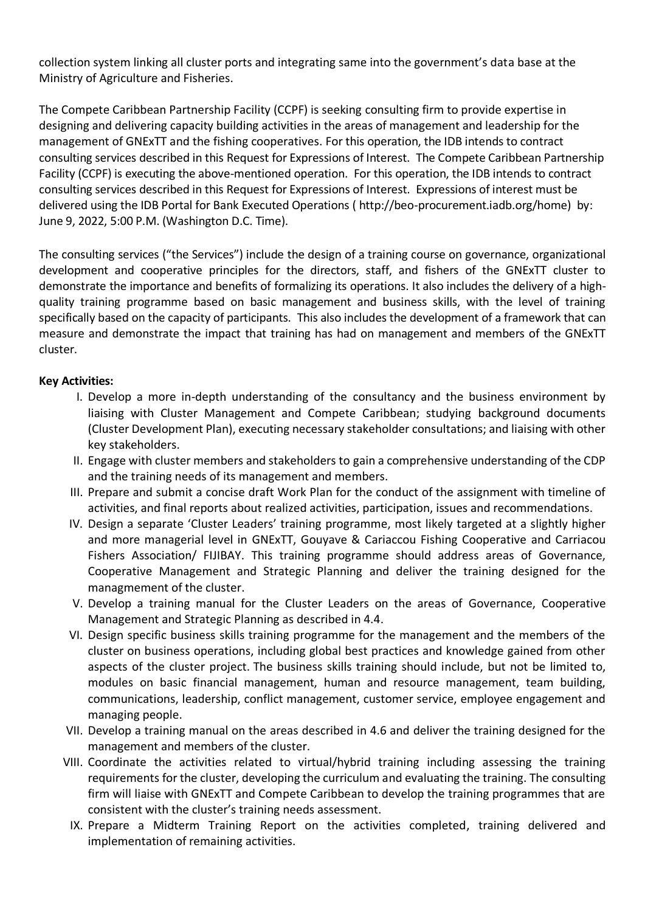collection system linking all cluster ports and integrating same into the government's data base at the Ministry of Agriculture and Fisheries.

The Compete Caribbean Partnership Facility (CCPF) is seeking consulting firm to provide expertise in designing and delivering capacity building activities in the areas of management and leadership for the management of GNExTT and the fishing cooperatives. For this operation, the IDB intends to contract consulting services described in this Request for Expressions of Interest. The Compete Caribbean Partnership Facility (CCPF) is executing the above-mentioned operation. For this operation, the IDB intends to contract consulting services described in this Request for Expressions of Interest. Expressions of interest must be delivered using the IDB Portal for Bank Executed Operations ( http://beo-procurement.iadb.org/home) by: June 9, 2022, 5:00 P.M. (Washington D.C. Time).

The consulting services ("the Services") include the design of a training course on governance, organizational development and cooperative principles for the directors, staff, and fishers of the GNExTT cluster to demonstrate the importance and benefits of formalizing its operations. It also includes the delivery of a highquality training programme based on basic management and business skills, with the level of training specifically based on the capacity of participants. This also includes the development of a framework that can measure and demonstrate the impact that training has had on management and members of the GNExTT cluster.

## **Key Activities:**

- I. Develop a more in-depth understanding of the consultancy and the business environment by liaising with Cluster Management and Compete Caribbean; studying background documents (Cluster Development Plan), executing necessary stakeholder consultations; and liaising with other key stakeholders.
- II. Engage with cluster members and stakeholders to gain a comprehensive understanding of the CDP and the training needs of its management and members.
- III. Prepare and submit a concise draft Work Plan for the conduct of the assignment with timeline of activities, and final reports about realized activities, participation, issues and recommendations.
- IV. Design a separate 'Cluster Leaders' training programme, most likely targeted at a slightly higher and more managerial level in GNExTT, Gouyave & Cariaccou Fishing Cooperative and Carriacou Fishers Association/ FIJIBAY. This training programme should address areas of Governance, Cooperative Management and Strategic Planning and deliver the training designed for the managmement of the cluster.
- V. Develop a training manual for the Cluster Leaders on the areas of Governance, Cooperative Management and Strategic Planning as described in 4.4.
- VI. Design specific business skills training programme for the management and the members of the cluster on business operations, including global best practices and knowledge gained from other aspects of the cluster project. The business skills training should include, but not be limited to, modules on basic financial management, human and resource management, team building, communications, leadership, conflict management, customer service, employee engagement and managing people.
- VII. Develop a training manual on the areas described in 4.6 and deliver the training designed for the management and members of the cluster.
- VIII. Coordinate the activities related to virtual/hybrid training including assessing the training requirements for the cluster, developing the curriculum and evaluating the training. The consulting firm will liaise with GNExTT and Compete Caribbean to develop the training programmes that are consistent with the cluster's training needs assessment.
- IX. Prepare a Midterm Training Report on the activities completed, training delivered and implementation of remaining activities.